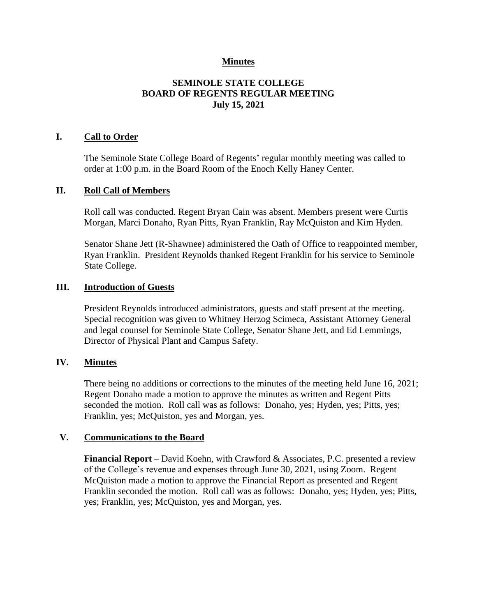## **Minutes**

# **SEMINOLE STATE COLLEGE BOARD OF REGENTS REGULAR MEETING July 15, 2021**

### **I. Call to Order**

The Seminole State College Board of Regents' regular monthly meeting was called to order at 1:00 p.m. in the Board Room of the Enoch Kelly Haney Center.

#### **II. Roll Call of Members**

Roll call was conducted. Regent Bryan Cain was absent. Members present were Curtis Morgan, Marci Donaho, Ryan Pitts, Ryan Franklin, Ray McQuiston and Kim Hyden.

Senator Shane Jett (R-Shawnee) administered the Oath of Office to reappointed member, Ryan Franklin. President Reynolds thanked Regent Franklin for his service to Seminole State College.

#### **III. Introduction of Guests**

President Reynolds introduced administrators, guests and staff present at the meeting. Special recognition was given to Whitney Herzog Scimeca, Assistant Attorney General and legal counsel for Seminole State College, Senator Shane Jett, and Ed Lemmings, Director of Physical Plant and Campus Safety.

### **IV. Minutes**

There being no additions or corrections to the minutes of the meeting held June 16, 2021; Regent Donaho made a motion to approve the minutes as written and Regent Pitts seconded the motion. Roll call was as follows: Donaho, yes; Hyden, yes; Pitts, yes; Franklin, yes; McQuiston, yes and Morgan, yes.

#### **V. Communications to the Board**

**Financial Report** – David Koehn, with Crawford & Associates, P.C. presented a review of the College's revenue and expenses through June 30, 2021, using Zoom. Regent McQuiston made a motion to approve the Financial Report as presented and Regent Franklin seconded the motion. Roll call was as follows: Donaho, yes; Hyden, yes; Pitts, yes; Franklin, yes; McQuiston, yes and Morgan, yes.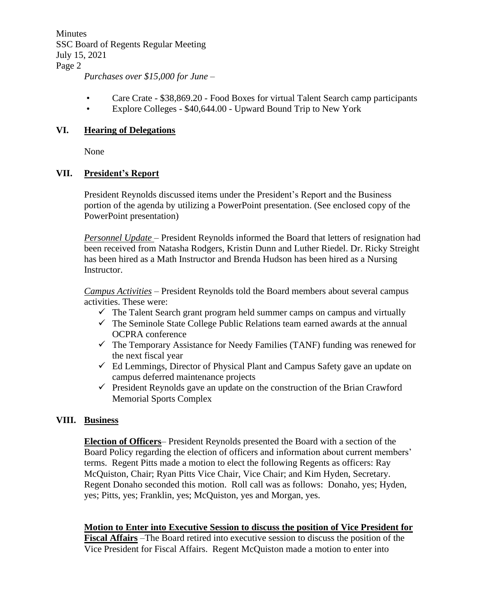Minutes SSC Board of Regents Regular Meeting July 15, 2021 Page 2

*Purchases over \$15,000 for June –*

- Care Crate \$38,869.20 Food Boxes for virtual Talent Search camp participants
- Explore Colleges \$40,644.00 Upward Bound Trip to New York

## **VI. Hearing of Delegations**

None

## **VII. President's Report**

President Reynolds discussed items under the President's Report and the Business portion of the agenda by utilizing a PowerPoint presentation. (See enclosed copy of the PowerPoint presentation)

*Personnel Update* – President Reynolds informed the Board that letters of resignation had been received from Natasha Rodgers, Kristin Dunn and Luther Riedel. Dr. Ricky Streight has been hired as a Math Instructor and Brenda Hudson has been hired as a Nursing Instructor.

*Campus Activities* – President Reynolds told the Board members about several campus activities. These were:

- $\checkmark$  The Talent Search grant program held summer camps on campus and virtually
- $\checkmark$  The Seminole State College Public Relations team earned awards at the annual OCPRA conference
- ✓ The Temporary Assistance for Needy Families (TANF) funding was renewed for the next fiscal year
- $\checkmark$  Ed Lemmings, Director of Physical Plant and Campus Safety gave an update on campus deferred maintenance projects
- $\checkmark$  President Reynolds gave an update on the construction of the Brian Crawford Memorial Sports Complex

# **VIII. Business**

**Election of Officers**– President Reynolds presented the Board with a section of the Board Policy regarding the election of officers and information about current members' terms. Regent Pitts made a motion to elect the following Regents as officers: Ray McQuiston, Chair; Ryan Pitts Vice Chair, Vice Chair; and Kim Hyden, Secretary. Regent Donaho seconded this motion. Roll call was as follows: Donaho, yes; Hyden, yes; Pitts, yes; Franklin, yes; McQuiston, yes and Morgan, yes.

### **Motion to Enter into Executive Session to discuss the position of Vice President for**

**Fiscal Affairs** –The Board retired into executive session to discuss the position of the Vice President for Fiscal Affairs. Regent McQuiston made a motion to enter into